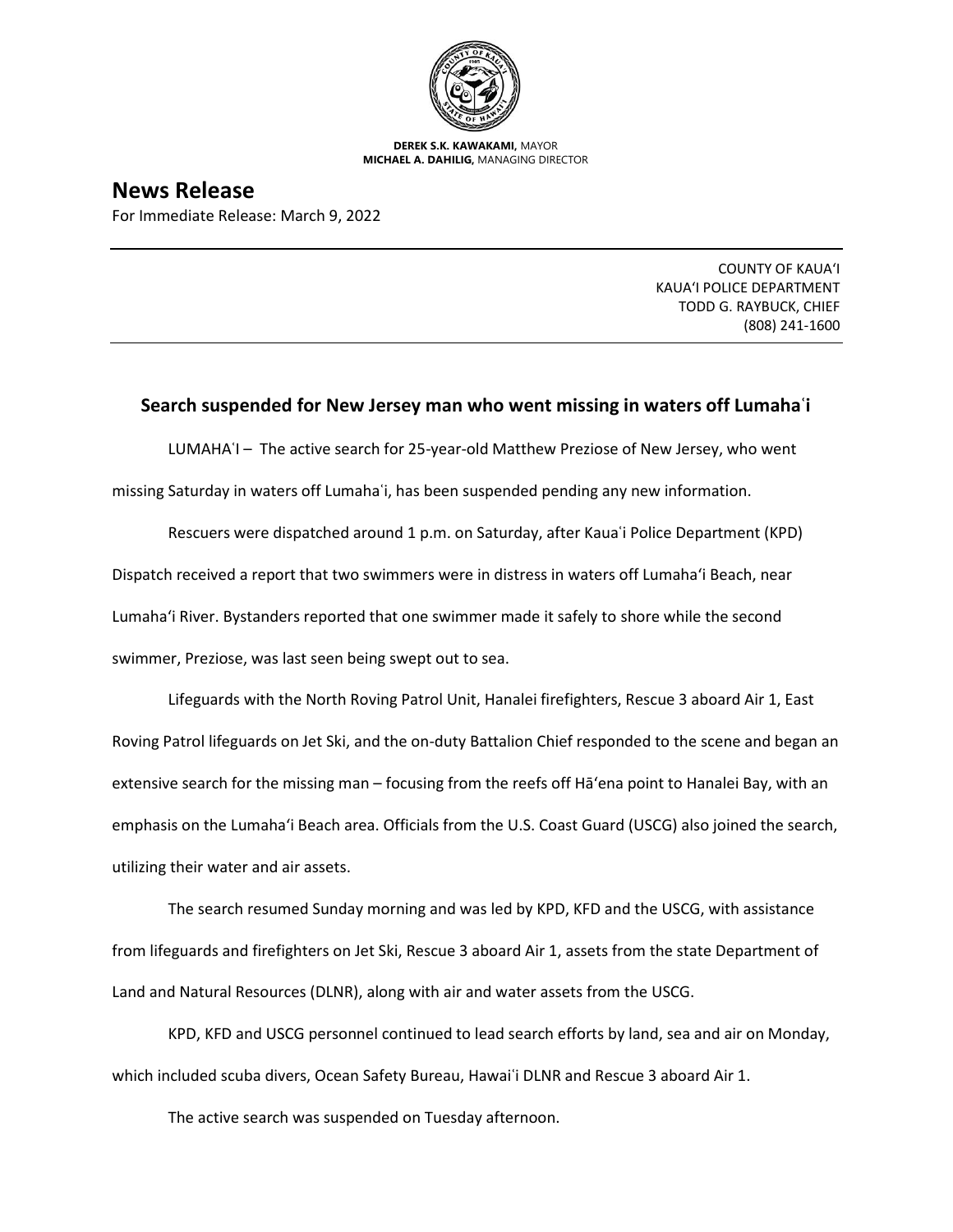

**DEREK S.K. KAWAKAMI,** MAYOR **MICHAEL A. DAHILIG,** MANAGING DIRECTOR

**News Release** For Immediate Release: March 9, 2022

> COUNTY OF KAUA'I KAUA'I POLICE DEPARTMENT TODD G. RAYBUCK, CHIEF (808) 241-1600

## **Search suspended for New Jersey man who went missing in waters off Lumahaʿi**

LUMAHAʿI – The active search for 25-year-old Matthew Preziose of New Jersey, who went

missing Saturday in waters off Lumahaʿi, has been suspended pending any new information.

Rescuers were dispatched around 1 p.m. on Saturday, after Kauaʿi Police Department (KPD) Dispatch received a report that two swimmers were in distress in waters off Lumaha'i Beach, near Lumaha'i River. Bystanders reported that one swimmer made it safely to shore while the second swimmer, Preziose, was last seen being swept out to sea.

Lifeguards with the North Roving Patrol Unit, Hanalei firefighters, Rescue 3 aboard Air 1, East Roving Patrol lifeguards on Jet Ski, and the on-duty Battalion Chief responded to the scene and began an extensive search for the missing man – focusing from the reefs off Hā'ena point to Hanalei Bay, with an emphasis on the Lumaha'i Beach area. Officials from the U.S. Coast Guard (USCG) also joined the search, utilizing their water and air assets.

The search resumed Sunday morning and was led by KPD, KFD and the USCG, with assistance from lifeguards and firefighters on Jet Ski, Rescue 3 aboard Air 1, assets from the state Department of Land and Natural Resources (DLNR), along with air and water assets from the USCG.

KPD, KFD and USCG personnel continued to lead search efforts by land, sea and air on Monday, which included scuba divers, Ocean Safety Bureau, Hawai'i DLNR and Rescue 3 aboard Air 1.

The active search was suspended on Tuesday afternoon.